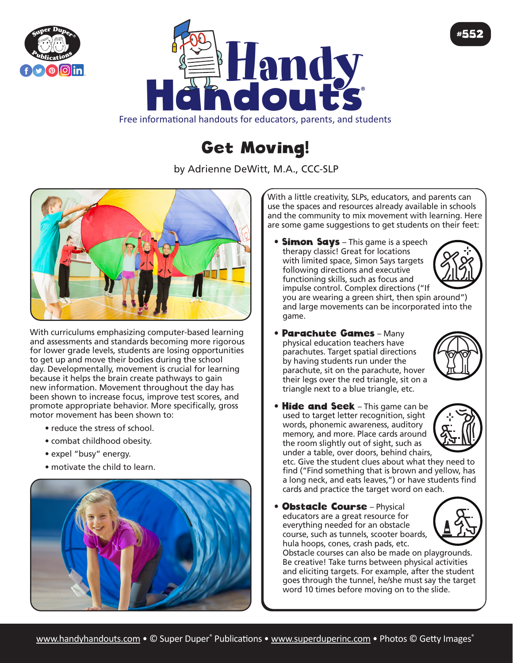



Free informational handouts for educators, parents, and students

## Get Moving!

by Adrienne DeWitt, M.A., CCC-SLP



With curriculums emphasizing computer-based learning and assessments and standards becoming more rigorous for lower grade levels, students are losing opportunities to get up and move their bodies during the school day. Developmentally, movement is crucial for learning because it helps the brain create pathways to gain new information. Movement throughout the day has been shown to increase focus, improve test scores, and promote appropriate behavior. More specifically, gross motor movement has been shown to:

- reduce the stress of school.
- combat childhood obesity.
- expel "busy" energy.
- motivate the child to learn.



With a little creativity, SLPs, educators, and parents can use the spaces and resources already available in schools and the community to mix movement with learning. Here are some game suggestions to get students on their feet:

• **Simon Says** – This game is a speech therapy classic! Great for locations with limited space, Simon Says targets following directions and executive functioning skills, such as focus and impulse control. Complex directions ("If



#552

you are wearing a green shirt, then spin around") and large movements can be incorporated into the game.

• Parachute Games – Many physical education teachers have parachutes. Target spatial directions by having students run under the parachute, sit on the parachute, hover their legs over the red triangle, sit on a triangle next to a blue triangle, etc.



• Hide and Seek - This game can be used to target letter recognition, sight words, phonemic awareness, auditory memory, and more. Place cards around the room slightly out of sight, such as under a table, over doors, behind chairs,



etc. Give the student clues about what they need to find ("Find something that is brown and yellow, has a long neck, and eats leaves,") or have students find cards and practice the target word on each.

**• Obstacle Course** - Physical educators are a great resource for everything needed for an obstacle course, such as tunnels, scooter boards, hula hoops, cones, crash pads, etc.



Obstacle courses can also be made on playgrounds. Be creative! Take turns between physical activities and eliciting targets. For example, after the student goes through the tunnel, he/she must say the target word 10 times before moving on to the slide.